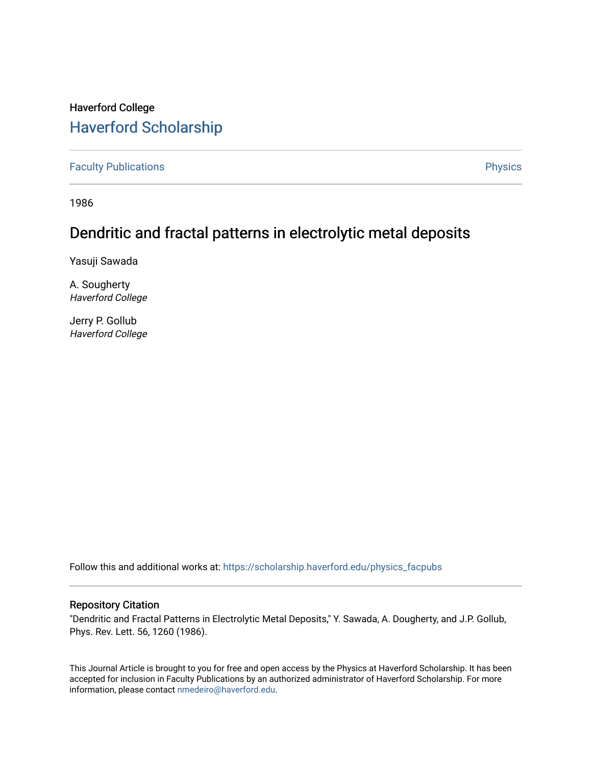## Haverford College [Haverford Scholarship](https://scholarship.haverford.edu/)

[Faculty Publications](https://scholarship.haverford.edu/physics_facpubs) **Physics** 

1986

## Dendritic and fractal patterns in electrolytic metal deposits

Yasuji Sawada

A. Sougherty Haverford College

Jerry P. Gollub Haverford College

Follow this and additional works at: [https://scholarship.haverford.edu/physics\\_facpubs](https://scholarship.haverford.edu/physics_facpubs?utm_source=scholarship.haverford.edu%2Fphysics_facpubs%2F70&utm_medium=PDF&utm_campaign=PDFCoverPages) 

## Repository Citation

"Dendritic and Fractal Patterns in Electrolytic Metal Deposits," Y. Sawada, A. Dougherty, and J.P. Gollub, Phys. Rev. Lett. 56, 1260 (1986).

This Journal Article is brought to you for free and open access by the Physics at Haverford Scholarship. It has been accepted for inclusion in Faculty Publications by an authorized administrator of Haverford Scholarship. For more information, please contact [nmedeiro@haverford.edu.](mailto:nmedeiro@haverford.edu)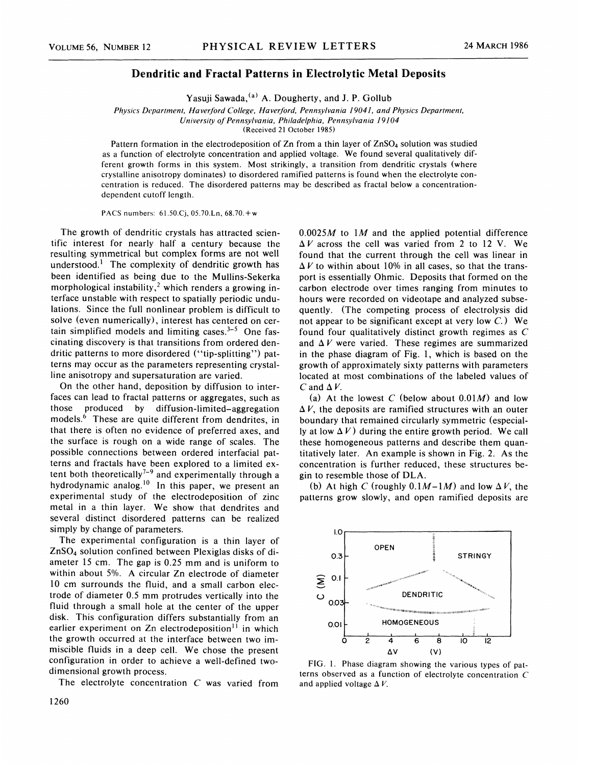## Dendritic and Fractal Patterns in Electrolytic Metal Deposits

Yasuji Sawada, <sup>(a)</sup> A. Dougherty, and J. P. Gollub

Physics Department, Haverford College, Haverford, Pennsylvania 19041, and Physics Department, University of Pennsylvania, Philadelphia, Pennsylvania 19104

(Received 21 October 1985)

Pattern formation in the electrodeposition of Zn from a thin layer of ZnSO<sub>4</sub> solution was studied as a function of electrolyte concentration and applied voltage. We found several qualitatively different growth forms in this system. Most strikingly, a transition from dendritic crystals (where crystalline anisotropy dominates) to disordered ramified patterns is found when the electrolyte concentration is reduced. The disordered patterns may be described as fractal below a concentrationdependent cutoff length.

PACS numbers: 61.50.Cj, 05.70.Ln, 68.70.+ <sup>w</sup>

The growth of dendritic crystals has attracted scientific interest for nearly half a century because the resulting symmetrical but complex forms are not well understood.<sup>1</sup> The complexity of dendritic growth has been identified as being due to the Mullins-Sekerka morphological instability,<sup>2</sup> which renders a growing interface unstable with respect to spatially periodic undulations. Since the full nonlinear problem is difficult to solve (even numerically), interest has centered on certain simplified models and limiting cases.<sup> $3-5$ </sup> One fascinating discovery is that transitions from ordered dendritic patterns to more disordered ("tip-splitting") patterns may occur as the parameters representing crystalline anisotropy and supersaturation are varied.

On the other hand, deposition by diffusion to interfaces can lead to fractal patterns or aggregates, such as those produced by diffusion-limited-aggregation models.<sup>6</sup> These are quite different from dendrites, in that there is often no evidence of preferred axes, and the surface is rough on a wide range of scales. The possible connections between ordered interfacial patterns and fractals have been explored to a limited extent both theoretically<sup>7-9</sup> and experimentally through a hydrodynamic analog.<sup>10</sup> In this paper, we present an experimental study of the electrodeposition of zinc metal in a thin layer. We show that dendrites and several distinct disordered patterns can be realized simply by change of parameters.

The experimental configuration is a thin layer of ZnSO4 solution confined between Plexiglas disks of diameter 15 cm. The gap is 0.25 mm and is uniform to within about 5%. A circular Zn electrode of diameter 10 cm surrounds the fluid, and a small carbon electrode of diameter 0.5 mm protrudes vertically into the fluid through a small hole at the center of the upper disk. This configuration differs substantially from an earlier experiment on Zn electrodeposition<sup>11</sup> in which the growth occurred at the interface between two immiscible fluids in a deep cell. We chose the present configuration in order to achieve a well-defined twodimensional growth process.

The electrolyte concentration  $C$  was varied from

 $0.0025M$  to 1M and the applied potential difference  $\Delta V$  across the cell was varied from 2 to 12 V. We found that the current through the cell was linear in  $\Delta V$  to within about 10% in all cases, so that the transport is essentially Ohmic. Deposits that formed on the carbon electrode over times ranging from minutes to hours were recorded on videotape and analyzed subsequently. (The competing process of electrolysis did not appear to be significant except at very low  $C$ .) We found four qualitatively distinct growth regimes as  $C$ and  $\Delta V$  were varied. These regimes are summarized in the phase diagram of Fig. 1, which is based on the growth of approximately sixty patterns with parameters located at most combinations of the labeled values of C and  $\Delta V$ .

(a) At the lowest C (below about  $0.01M$ ) and low  $\Delta V$ , the deposits are ramified structures with an outer boundary that remained circularly symmetric (especially at low  $\Delta V$ ) during the entire growth period. We call these homogeneous patterns and describe them quantitatively later. An example is shown in Fig. 2. As the concentration is further reduced, these structures begin to resemble those of DLA.

(b) At high C (roughly  $0.1M-1M$ ) and low  $\Delta V$ , the patterns grow slowly, and open ramified deposits are



FIG. 1. Phase diagram showing the various types of patterns observed as a function of electrolyte concentration C and applied voltage  $\Delta V$ .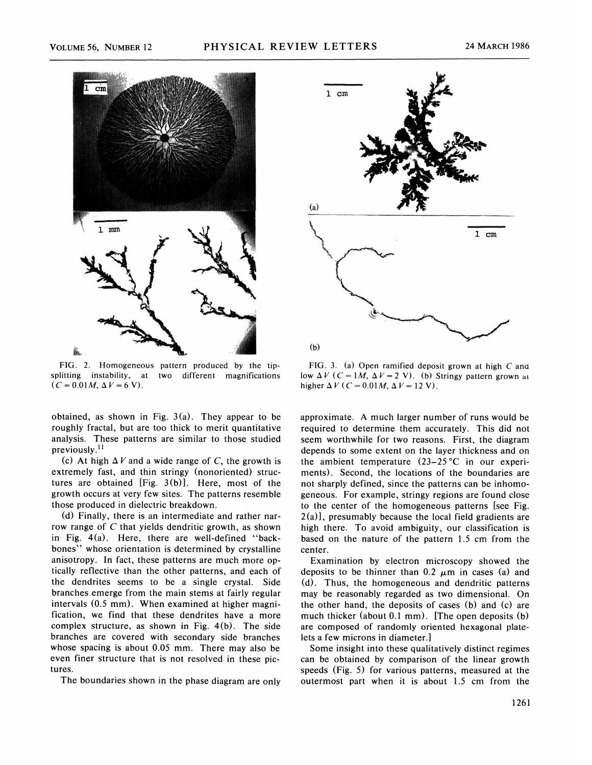

FIG. 2. Homogeneous pattern produced by the tipsplitting instability, at two different magnifications  $(C = 0.01M, \Delta V = 6 V).$ 

obtained, as shown in Fig.  $3(a)$ . They appear to be roughly fractal, but are too thick to merit quantitative analysis. These patterns are similar to those studies<br>previously.<sup>11</sup> previously.<sup>11</sup>

(c) At high  $\Delta V$  and a wide range of C, the growth is extremely fast, and thin stringy (nonoriented) structures are obtained [Fig. 3(b)]. Here, most of the growth occurs at very few sites. The patterns resemble those produced in dielectric breakdown.

(d) Finally, there is an intermediate and rather narrow range of  $C$  that yields dendritic growth, as shown in Fig. 4(a). Here, there are well-defined "backbones" whose orientation is determined by crystalline anisotropy. In fact, these patterns are much more optically reflective than the other patterns, and each of the dendrites seems to be a single crystal. Side branches emerge from the main stems at fairly regular intervals (0.5 mm). When examined at higher magnification, we find that these dendrites have a more complex structure, as shown in Fig. 4(b). The side branches are covered with secondary side branches whose spacing is about 0.05 mm. There may also be even finer structure that is not resolved in these pictures.

The boundaries shown in the phase diagram are only



FIG. 3. (a) Open ramified deposit grown at high  $C$  and low  $\Delta V$  (C = 1M,  $\Delta V$  = 2 V). (b) Stringy pattern grown at higher  $\Delta V$  (C = 0.01*M*,  $\Delta V$  = 12 V).

approximate. A much larger number of runs would be required to determine them accurately. This did not seem worthwhile for two reasons. First, the diagram depends to some extent on the layer thickness and on the ambient temperature  $(23-25 \degree C)$  in our experiments). Second, the locations of the boundaries are not sharply defined, since the patterns can be inhomogeneous. For example, stringy regions are found close to the center of the homogeneous patterns [see Fig.  $2(a)$ , presumably because the local field gradients are high there. To avoid ambiguity, our classification is based on the nature of the pattern 1.5 cm from the center.

Examination by electron microscopy showed the deposits to be thinner than 0.2  $\mu$ m in cases (a) and (d). Thus, the homogeneous and dendritic patterns may be reasonably regarded as two dimensional. On the other hand, the deposits of cases (b) and (c) are much thicker (about 0.1 mm). [The open deposits (b) are composed of randomly oriented hexagonal platelets a few microns in diameter. ]

Some insight into these qualitatively distinct regimes can be obtained by comparison of the linear growth speeds (Fig. 5) for various patterns, measured at the outermost part when it is about 1.5 cm from the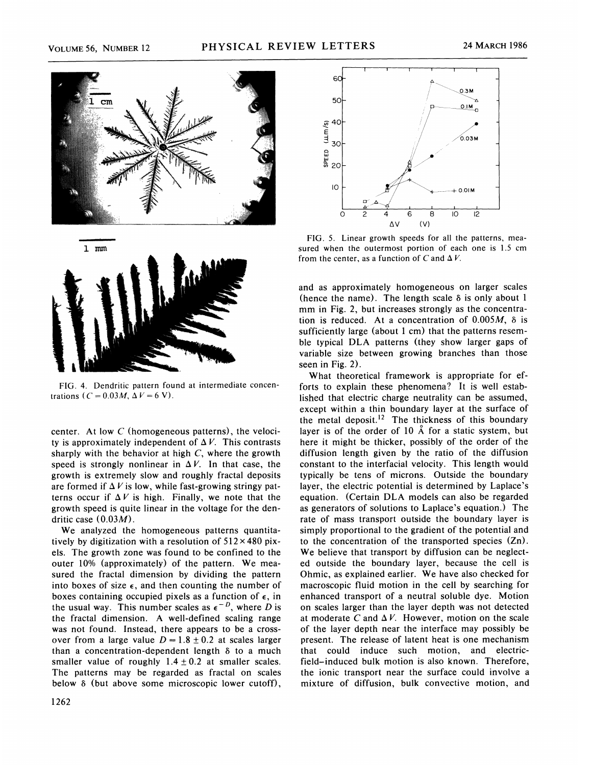60

l2

O.IM

о озм





FIG. 4. Dendritic pattern found at intermediate concentrations ( $C = 0.03M$ ,  $\Delta V = 6$  V).

center. At low  $C$  (homogeneous patterns), the velocity is approximately independent of  $\Delta V$ . This contrasts sharply with the behavior at high  $C$ , where the growth speed is strongly nonlinear in  $\Delta V$ . In that case, the growth is extremely slow and roughly fractal deposits are formed if  $\Delta V$  is low, while fast-growing stringy patterns occur if  $\Delta V$  is high. Finally, we note that the growth speed is quite linear in the voltage for the dendritic case  $(0.03M)$ .

We analyzed the homogeneous patterns quantitatively by digitization with a resolution of  $512 \times 480$  pixels. The growth zone was found to be confined to the outer 10% (approximately) of the pattern. We measured the fractal dimension by dividing the pattern into boxes of size  $\epsilon$ , and then counting the number of boxes containing occupied pixels as a function of  $\epsilon$ , in the usual way. This number scales as  $\epsilon^{-D}$ , where D is the fractal dimension. A well-defined scaling range was not found. Instead, there appears to be a crossover from a large value  $D = 1.8 \pm 0.2$  at scales larger than a concentration-dependent length  $\delta$  to a much smaller value of roughly  $1.4 \pm 0.2$  at smaller scales. The patterns may be regarded as fractal on scales below  $\delta$  (but above some microscopic lower cutoff),



FIG. 5. Linear growth speeds for all the patterns, measured when the outermost portion of each one is 1.5 cm from the center, as a function of C and  $\Delta V$ .

and as approximately homogeneous on larger scales (hence the name). The length scale  $\delta$  is only about 1 mm in Fig. 2, but increases strongly as the concentration is reduced. At a concentration of  $0.005M$ ,  $\delta$  is sufficiently large (about <sup>1</sup> cm) that the patterns resemble typical DLA patterns (they show larger gaps of variable size between growing branches than those seen in Fig. 2).

What theoretical framework is appropriate for efforts to explain these phenomena? It is well established that electric charge neutrality can be assumed, except within a thin boundary layer at the surface of the metal deposit.<sup>12</sup> The thickness of this boundary layer is of the order of 10  $\AA$  for a static system, but here it might be thicker, possibly of the order of the diffusion length given by the ratio of the diffusion constant to the interfacial velocity. This length would typically be tens of microns. Outside the boundary layer, the electric potential is determined by Laplace's equation. (Certain DLA models can also be regarded as generators of solutions to Laplace's equation.) The rate of mass transport outside the boundary layer is simply proportional to the gradient of the potential and to the concentration of the transported species (Zn). We believe that transport by diffusion can be neglected outside the boundary layer, because the cell is Ohmic, as explained earlier. We have also checked for macroscopic fluid motion in the cell by searching for enhanced transport of a neutral soluble dye. Motion on scales larger than the layer depth was not detected at moderate C and  $\Delta V$ . However, motion on the scale of the layer depth near the interface may possibly be present. The release of latent heat is one mechanism that could induce such motion, and electricfield-induced bulk motion is also known. Therefore, the ionic transport near the surface could involve a mixture of diffusion, bulk convective motion, and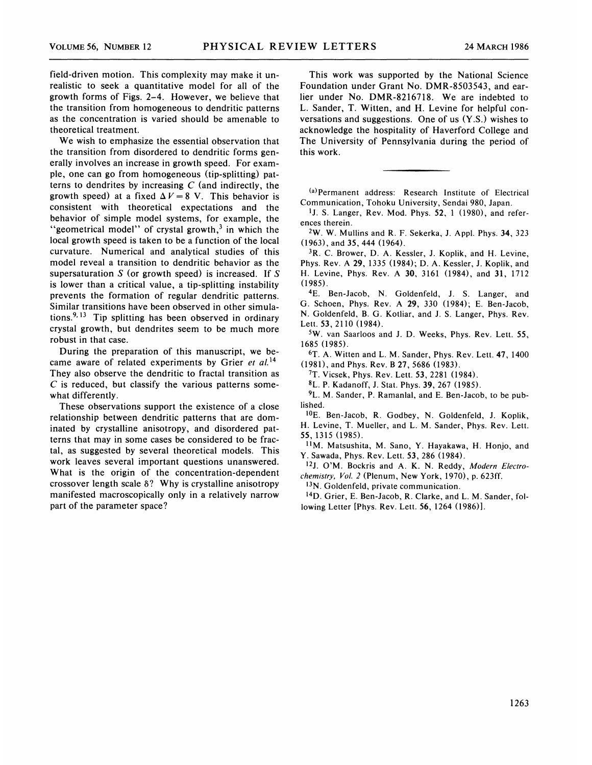field-driven motion. This complexity may make it unrealistic to seek a quantitative model for all of the growth forms of Figs. 2-4. However, we believe that the transition from homogeneous to dendritic patterns as the concentration is varied should be amenable to theoretical treatment.

We wish to emphasize the essential observation that the transition from disordered to dendritic forms generally involves an increase in growth speed. For example, one can go from homogeneous (tip-splitting) patterns to dendrites by increasing  $C$  (and indirectly, the growth speed) at a fixed  $\Delta V=8$  V. This behavior is consistent with theoretical expectations and the behavior of simple model systems, for example, the "geometrical model" of crystal growth, $3$  in which the local growth speed is taken to be a function of the local curvature. Numerical and analytical studies of this model reveal a transition to dendritic behavior as the supersaturation S (or growth speed) is increased. If S is lower than a critical value, a tip-splitting instability prevents the formation of regular dendritic patterns. Similar transitions have been observed in other simulations.<sup>9, 13</sup> Tip splitting has been observed in ordinary crystal growth, but dendrites seem to be much more robust in that case.

During the preparation of this manuscript, we became aware of related experiments by Grier et  $al$ .<sup>14</sup> They also observe the dendritic to fractal transition as  $C$  is reduced, but classify the various patterns somewhat differently.

These observations support the existence of a close relationship between dendritic patterns that are dominated by crystalline anisotropy, and disordered patterns that may in some cases be considered to be fractal, as suggested by several theoretical models. This work leaves several important questions unanswered. What is the origin of the concentration-dependent crossover length scale  $\delta$ ? Why is crystalline anisotropy manifested macroscopically only in a relatively narrow part of the parameter space?

This work was supported by the National Science Foundation under Grant No. DMR-8503543, and earlier under No. DMR-8216718. We are indebted to L. Sander, T. Witten, and H. Levine for helpful conversations and suggestions. One of us (Y.S.) wishes to acknowledge the hospitality of Haverford College and The University of Pennsylvania during the period of this work.

(a) Permanent address: Research Institute of Electrical Communication, Tohoku University, Sendai 980, Japan.

<sup>1</sup>J. S. Langer, Rev. Mod. Phys. 52, 1 (1980), and references therein.

W. W. Mullins and R. F. Sekerka, J. Appl. Phys. 34, 323 (1963), and 35, 444 (1964).

 ${}^{3}R$ . C. Brower, D. A. Kessler, J. Koplik, and H. Levine, Phys. Rev. A 29, 1335 (1984); D. A. Kessler, J. Koplik, and H. Levine, Phys. Rev. A 30, 3161 (1984), and 31, 1712 (1985).

4E. Ben-Jacob, N. Goldenfeld, J. S. Langer, and G. Schoen, Phys. Rev. A 29, 330 (1984); E. Ben-Jacob, N. Goldenfeld, B. G. Kotliar, and J. S. Langer, Phys. Rev. Lett. 53, 2110 (1984).

5W. van Saarloos and J. D. Weeks, Phys. Rev. Lett. 55, 1685 (1985).

<sup>6</sup>T. A. Witten and L. M. Sander, Phys. Rev. Lett. 47, 1400 (1981), and Phys. Rev. B 27, 5686 (1983).

7T. Vicsek, Phys. Rev. Lett. 53, 2281 (1984).

sL. P. Kadanoff, J. Stat. Phys. 39, 267 (1985).

<sup>9</sup>L. M. Sander, P. Ramanlal, and E. Ben-Jacob, to be published.

10E. Ben-Jacob, R. Godbey, N. Goldenfeld, J. Koplik, H. Levine, T. Mueller, and L. M. Sander, Phys. Rev. Lett. 55, 1315 (1985).

11M. Matsushita, M. Sano, Y. Hayakawa, H. Honjo, and Y. Sawada, Phys. Rev. Lett. 53, 286 (1984).

<sup>12</sup>J. O'M. Bockris and A. K. N. Reddy, Modern Electrochemistry, Vol. 2 (Plenum, New York, 1970), p. 623ff.

<sup>13</sup>N. Goldenfeld, private communication.

i4D. Grier, E. Ben-Jacob, R. Clarke, and L. M. Sander, following Letter [Phys. Rev. Lett. 56, 1264 (1986)].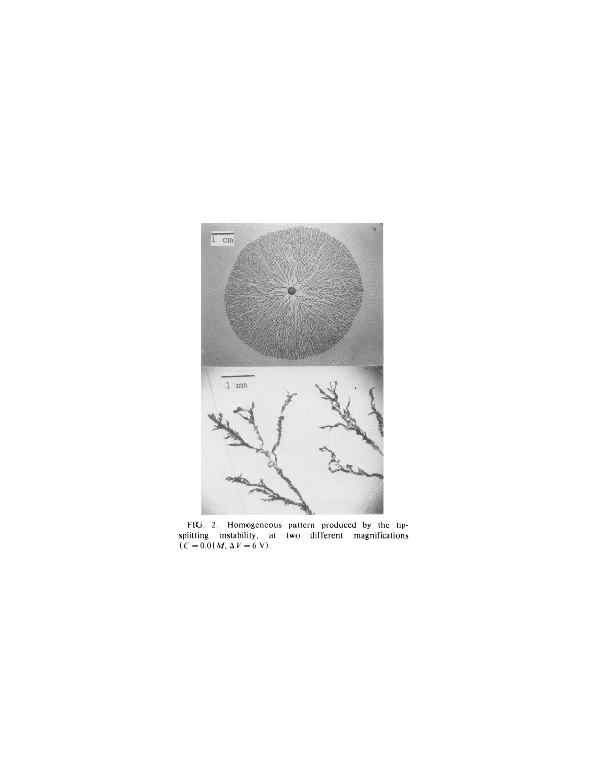

FIG. 2. Homogeneous pattern produced by the tip-<br>splitting instability, at two different magnifications<br> $(C = 0.01M, \Delta V = 6 V)$ .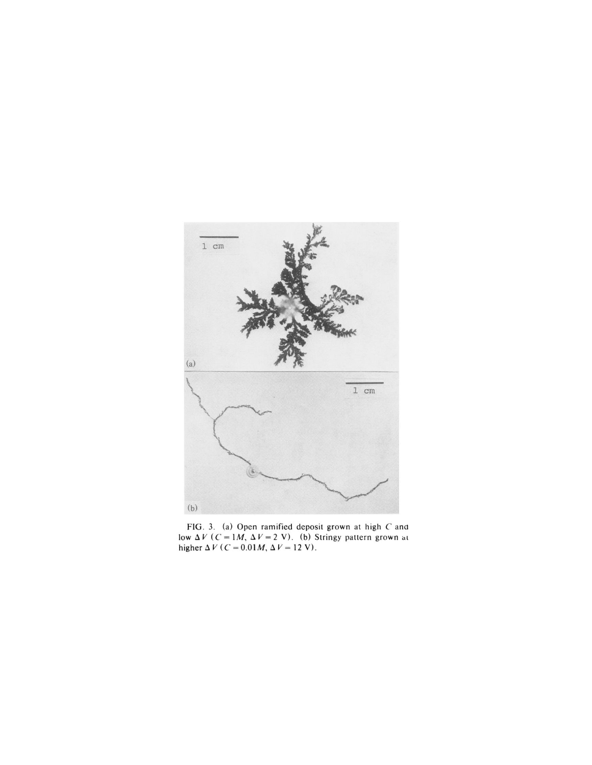

FIG. 3. (a) Open ramified deposit grown at high C and<br>low  $\Delta V$  (C = 1*M*,  $\Delta V$  = 2 V). (b) Stringy pattern grown at<br>higher  $\Delta V$  (C = 0.01*M*,  $\Delta V$  = 12 V).